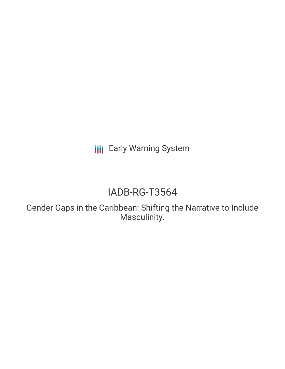**III** Early Warning System

# IADB-RG-T3564

Gender Gaps in the Caribbean: Shifting the Narrative to Include Masculinity.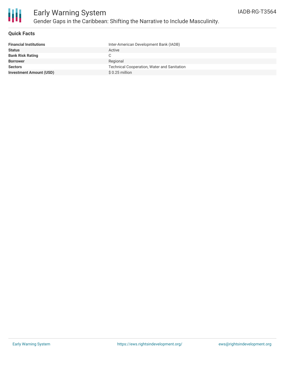

### **Quick Facts**

| <b>Financial Institutions</b>  | Inter-American Development Bank (IADB)             |
|--------------------------------|----------------------------------------------------|
| <b>Status</b>                  | Active                                             |
| <b>Bank Risk Rating</b>        | C.                                                 |
| Borrower                       | Regional                                           |
| <b>Sectors</b>                 | <b>Technical Cooperation, Water and Sanitation</b> |
| <b>Investment Amount (USD)</b> | $$0.25$ million                                    |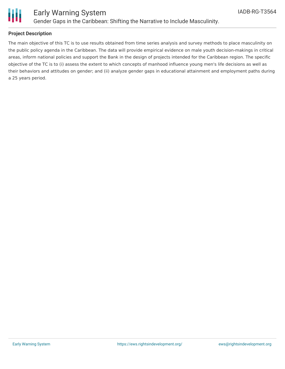

### Early Warning System Gender Gaps in the Caribbean: Shifting the Narrative to Include Masculinity.

### **Project Description**

The main objective of this TC is to use results obtained from time series analysis and survey methods to place masculinity on the public policy agenda in the Caribbean. The data will provide empirical evidence on male youth decision-makings in critical areas, inform national policies and support the Bank in the design of projects intended for the Caribbean region. The specific objective of the TC is to (i) assess the extent to which concepts of manhood influence young men's life decisions as well as their behaviors and attitudes on gender; and (ii) analyze gender gaps in educational attainment and employment paths during a 25 years period.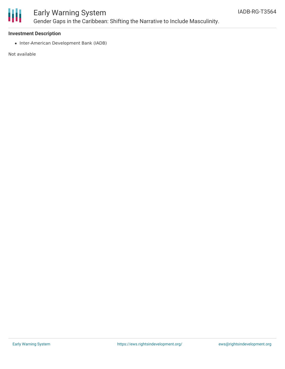

## Early Warning System Gender Gaps in the Caribbean: Shifting the Narrative to Include Masculinity.

### **Investment Description**

• Inter-American Development Bank (IADB)

Not available